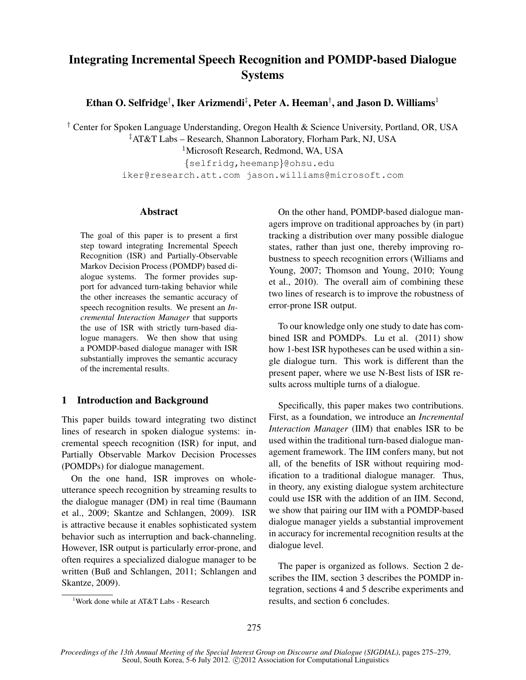# Integrating Incremental Speech Recognition and POMDP-based Dialogue Systems

Ethan O. Selfridge $^\dagger$ , Iker Arizmendi $^\ddagger$ , Peter A. Heeman $^\dagger$ , and Jason D. Williams $^1$ 

† Center for Spoken Language Understanding, Oregon Health & Science University, Portland, OR, USA

‡AT&T Labs – Research, Shannon Laboratory, Florham Park, NJ, USA

<sup>1</sup>Microsoft Research, Redmond, WA, USA

{selfridg,heemanp}@ohsu.edu iker@research.att.com jason.williams@microsoft.com

# Abstract

The goal of this paper is to present a first step toward integrating Incremental Speech Recognition (ISR) and Partially-Observable Markov Decision Process (POMDP) based dialogue systems. The former provides support for advanced turn-taking behavior while the other increases the semantic accuracy of speech recognition results. We present an *Incremental Interaction Manager* that supports the use of ISR with strictly turn-based dialogue managers. We then show that using a POMDP-based dialogue manager with ISR substantially improves the semantic accuracy of the incremental results.

## 1 Introduction and Background

This paper builds toward integrating two distinct lines of research in spoken dialogue systems: incremental speech recognition (ISR) for input, and Partially Observable Markov Decision Processes (POMDPs) for dialogue management.

On the one hand, ISR improves on wholeutterance speech recognition by streaming results to the dialogue manager (DM) in real time (Baumann et al., 2009; Skantze and Schlangen, 2009). ISR is attractive because it enables sophisticated system behavior such as interruption and back-channeling. However, ISR output is particularly error-prone, and often requires a specialized dialogue manager to be written (Buß and Schlangen, 2011; Schlangen and Skantze, 2009).

On the other hand, POMDP-based dialogue managers improve on traditional approaches by (in part) tracking a distribution over many possible dialogue states, rather than just one, thereby improving robustness to speech recognition errors (Williams and Young, 2007; Thomson and Young, 2010; Young et al., 2010). The overall aim of combining these two lines of research is to improve the robustness of error-prone ISR output.

To our knowledge only one study to date has combined ISR and POMDPs. Lu et al. (2011) show how 1-best ISR hypotheses can be used within a single dialogue turn. This work is different than the present paper, where we use N-Best lists of ISR results across multiple turns of a dialogue.

Specifically, this paper makes two contributions. First, as a foundation, we introduce an *Incremental Interaction Manager* (IIM) that enables ISR to be used within the traditional turn-based dialogue management framework. The IIM confers many, but not all, of the benefits of ISR without requiring modification to a traditional dialogue manager. Thus, in theory, any existing dialogue system architecture could use ISR with the addition of an IIM. Second, we show that pairing our IIM with a POMDP-based dialogue manager yields a substantial improvement in accuracy for incremental recognition results at the dialogue level.

The paper is organized as follows. Section 2 describes the IIM, section 3 describes the POMDP integration, sections 4 and 5 describe experiments and results, and section 6 concludes.

<sup>&</sup>lt;sup>1</sup>Work done while at AT&T Labs - Research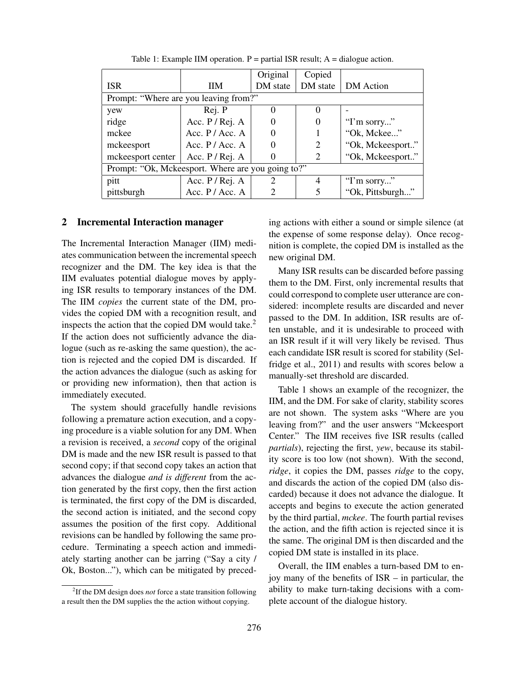|                                                   |                    | Original | Copied         |                  |
|---------------------------------------------------|--------------------|----------|----------------|------------------|
| <b>ISR</b>                                        | HМ                 | DM state | DM state       | DM Action        |
| Prompt: "Where are you leaving from?"             |                    |          |                |                  |
| yew                                               | Rej. P             | $\theta$ | $\theta$       |                  |
| ridge                                             | Acc. $P / Rej. A$  |          | 0              | "I'm sorry"      |
| mckee                                             | Acc. $P / Acc. A$  |          |                | "Ok, Mckee"      |
| mckeesport                                        | Acc. $P / Acc. A$  | $\theta$ | $\overline{c}$ | "Ok, Mckeesport" |
| mckeesport center                                 | Acc. $P / Rej$ . A |          | 2              | "Ok, Mckeesport" |
| Prompt: "Ok, Mckeesport. Where are you going to?" |                    |          |                |                  |
| pitt                                              | Acc. $P / Rej. A$  | 2        | 4              | "I'm sorry"      |
| pittsburgh                                        | Acc. $P / Acc. A$  |          |                | "Ok, Pittsburgh" |

Table 1: Example IIM operation.  $P =$  partial ISR result; A = dialogue action.

#### 2 Incremental Interaction manager

The Incremental Interaction Manager (IIM) mediates communication between the incremental speech recognizer and the DM. The key idea is that the IIM evaluates potential dialogue moves by applying ISR results to temporary instances of the DM. The IIM *copies* the current state of the DM, provides the copied DM with a recognition result, and inspects the action that the copied DM would take.<sup>2</sup> If the action does not sufficiently advance the dialogue (such as re-asking the same question), the action is rejected and the copied DM is discarded. If the action advances the dialogue (such as asking for or providing new information), then that action is immediately executed.

The system should gracefully handle revisions following a premature action execution, and a copying procedure is a viable solution for any DM. When a revision is received, a *second* copy of the original DM is made and the new ISR result is passed to that second copy; if that second copy takes an action that advances the dialogue *and is different* from the action generated by the first copy, then the first action is terminated, the first copy of the DM is discarded, the second action is initiated, and the second copy assumes the position of the first copy. Additional revisions can be handled by following the same procedure. Terminating a speech action and immediately starting another can be jarring ("Say a city / Ok, Boston..."), which can be mitigated by preceding actions with either a sound or simple silence (at the expense of some response delay). Once recognition is complete, the copied DM is installed as the new original DM.

Many ISR results can be discarded before passing them to the DM. First, only incremental results that could correspond to complete user utterance are considered: incomplete results are discarded and never passed to the DM. In addition, ISR results are often unstable, and it is undesirable to proceed with an ISR result if it will very likely be revised. Thus each candidate ISR result is scored for stability (Selfridge et al., 2011) and results with scores below a manually-set threshold are discarded.

Table 1 shows an example of the recognizer, the IIM, and the DM. For sake of clarity, stability scores are not shown. The system asks "Where are you leaving from?" and the user answers "Mckeesport Center." The IIM receives five ISR results (called *partials*), rejecting the first, *yew*, because its stability score is too low (not shown). With the second, *ridge*, it copies the DM, passes *ridge* to the copy, and discards the action of the copied DM (also discarded) because it does not advance the dialogue. It accepts and begins to execute the action generated by the third partial, *mckee*. The fourth partial revises the action, and the fifth action is rejected since it is the same. The original DM is then discarded and the copied DM state is installed in its place.

Overall, the IIM enables a turn-based DM to enjoy many of the benefits of ISR – in particular, the ability to make turn-taking decisions with a complete account of the dialogue history.

<sup>2</sup> If the DM design does *not* force a state transition following a result then the DM supplies the the action without copying.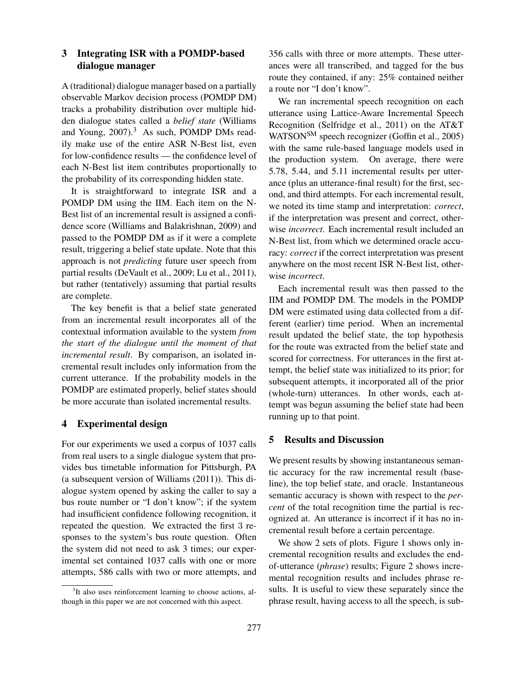# 3 Integrating ISR with a POMDP-based dialogue manager

A (traditional) dialogue manager based on a partially observable Markov decision process (POMDP DM) tracks a probability distribution over multiple hidden dialogue states called a *belief state* (Williams and Young,  $2007$ ).<sup>3</sup> As such, POMDP DMs readily make use of the entire ASR N-Best list, even for low-confidence results — the confidence level of each N-Best list item contributes proportionally to the probability of its corresponding hidden state.

It is straightforward to integrate ISR and a POMDP DM using the IIM. Each item on the N-Best list of an incremental result is assigned a confidence score (Williams and Balakrishnan, 2009) and passed to the POMDP DM as if it were a complete result, triggering a belief state update. Note that this approach is not *predicting* future user speech from partial results (DeVault et al., 2009; Lu et al., 2011), but rather (tentatively) assuming that partial results are complete.

The key benefit is that a belief state generated from an incremental result incorporates all of the contextual information available to the system *from the start of the dialogue until the moment of that incremental result*. By comparison, an isolated incremental result includes only information from the current utterance. If the probability models in the POMDP are estimated properly, belief states should be more accurate than isolated incremental results.

# 4 Experimental design

For our experiments we used a corpus of 1037 calls from real users to a single dialogue system that provides bus timetable information for Pittsburgh, PA (a subsequent version of Williams (2011)). This dialogue system opened by asking the caller to say a bus route number or "I don't know"; if the system had insufficient confidence following recognition, it repeated the question. We extracted the first 3 responses to the system's bus route question. Often the system did not need to ask 3 times; our experimental set contained 1037 calls with one or more attempts, 586 calls with two or more attempts, and 356 calls with three or more attempts. These utterances were all transcribed, and tagged for the bus route they contained, if any: 25% contained neither a route nor "I don't know".

We ran incremental speech recognition on each utterance using Lattice-Aware Incremental Speech Recognition (Selfridge et al., 2011) on the AT&T WATSON<sup>SM</sup> speech recognizer (Goffin et al., 2005) with the same rule-based language models used in the production system. On average, there were 5.78, 5.44, and 5.11 incremental results per utterance (plus an utterance-final result) for the first, second, and third attempts. For each incremental result, we noted its time stamp and interpretation: *correct*, if the interpretation was present and correct, otherwise *incorrect*. Each incremental result included an N-Best list, from which we determined oracle accuracy: *correct* if the correct interpretation was present anywhere on the most recent ISR N-Best list, otherwise *incorrect*.

Each incremental result was then passed to the IIM and POMDP DM. The models in the POMDP DM were estimated using data collected from a different (earlier) time period. When an incremental result updated the belief state, the top hypothesis for the route was extracted from the belief state and scored for correctness. For utterances in the first attempt, the belief state was initialized to its prior; for subsequent attempts, it incorporated all of the prior (whole-turn) utterances. In other words, each attempt was begun assuming the belief state had been running up to that point.

## 5 Results and Discussion

We present results by showing instantaneous semantic accuracy for the raw incremental result (baseline), the top belief state, and oracle. Instantaneous semantic accuracy is shown with respect to the *percent* of the total recognition time the partial is recognized at. An utterance is incorrect if it has no incremental result before a certain percentage.

We show 2 sets of plots. Figure 1 shows only incremental recognition results and excludes the endof-utterance (*phrase*) results; Figure 2 shows incremental recognition results and includes phrase results. It is useful to view these separately since the phrase result, having access to all the speech, is sub-

<sup>&</sup>lt;sup>3</sup>It also uses reinforcement learning to choose actions, although in this paper we are not concerned with this aspect.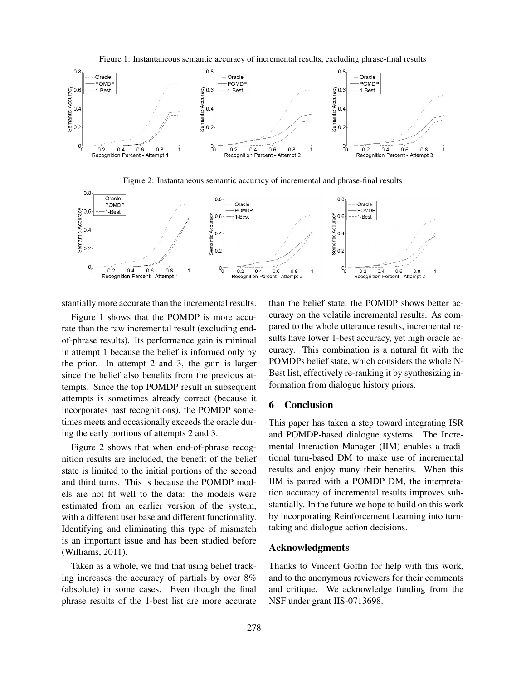

Figure 1: Instantaneous semantic accuracy of incremental results, excluding phrase-final results

Figure 2: Instantaneous semantic accuracy of incremental and phrase-final results



stantially more accurate than the incremental results.

Figure 1 shows that the POMDP is more accurate than the raw incremental result (excluding endof-phrase results). Its performance gain is minimal in attempt 1 because the belief is informed only by the prior. In attempt 2 and 3, the gain is larger since the belief also benefits from the previous attempts. Since the top POMDP result in subsequent attempts is sometimes already correct (because it incorporates past recognitions), the POMDP sometimes meets and occasionally exceeds the oracle during the early portions of attempts 2 and 3.

Figure 2 shows that when end-of-phrase recognition results are included, the benefit of the belief state is limited to the initial portions of the second and third turns. This is because the POMDP models are not fit well to the data: the models were estimated from an earlier version of the system, with a different user base and different functionality. Identifying and eliminating this type of mismatch is an important issue and has been studied before (Williams, 2011).

Taken as a whole, we find that using belief tracking increases the accuracy of partials by over 8% (absolute) in some cases. Even though the final phrase results of the 1-best list are more accurate than the belief state, the POMDP shows better accuracy on the volatile incremental results. As compared to the whole utterance results, incremental results have lower 1-best accuracy, yet high oracle accuracy. This combination is a natural fit with the POMDPs belief state, which considers the whole N-Best list, effectively re-ranking it by synthesizing information from dialogue history priors.

#### 6 Conclusion

This paper has taken a step toward integrating ISR and POMDP-based dialogue systems. The Incremental Interaction Manager (IIM) enables a traditional turn-based DM to make use of incremental results and enjoy many their benefits. When this IIM is paired with a POMDP DM, the interpretation accuracy of incremental results improves substantially. In the future we hope to build on this work by incorporating Reinforcement Learning into turntaking and dialogue action decisions.

### Acknowledgments

Thanks to Vincent Goffin for help with this work, and to the anonymous reviewers for their comments and critique. We acknowledge funding from the NSF under grant IIS-0713698.